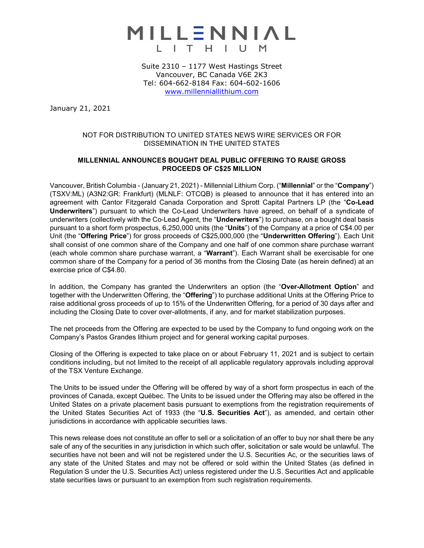

Suite 2310 – 1177 West Hastings Street Vancouver, BC Canada V6E 2K3 Tel: 604-662-8184 Fax: 604-602-1606 [www.millenniallithium.com](http://www.millenniallithium.com/)

January 21, 2021

# NOT FOR DISTRIBUTION TO UNITED STATES NEWS WIRE SERVICES OR FOR DISSEMINATION IN THE UNITED STATES

## **MILLENNIAL ANNOUNCES BOUGHT DEAL PUBLIC OFFERING TO RAISE GROSS PROCEEDS OF C\$25 MILLION**

Vancouver, British Columbia - (January 21, 2021) - Millennial Lithium Corp. ("**Millennial**" or the "**Company**") (TSXV:ML) (A3N2:GR: Frankfurt) (MLNLF: OTCQB) is pleased to announce that it has entered into an agreement with Cantor Fitzgerald Canada Corporation and Sprott Capital Partners LP (the "**Co-Lead Underwriters**") pursuant to which the Co-Lead Underwriters have agreed, on behalf of a syndicate of underwriters (collectively with the Co-Lead Agent, the "**Underwriters**") to purchase, on a bought deal basis pursuant to a short form prospectus, 6,250,000 units (the "**Units**") of the Company at a price of C\$4.00 per Unit (the "**Offering Price**") for gross proceeds of C\$25,000,000 (the "**Underwritten Offering**"). Each Unit shall consist of one common share of the Company and one half of one common share purchase warrant (each whole common share purchase warrant, a "**Warrant**"). Each Warrant shall be exercisable for one common share of the Company for a period of 36 months from the Closing Date (as herein defined) at an exercise price of C\$4.80.

In addition, the Company has granted the Underwriters an option (the "**Over-Allotment Option**" and together with the Underwritten Offering, the "**Offering**") to purchase additional Units at the Offering Price to raise additional gross proceeds of up to 15% of the Underwritten Offering, for a period of 30 days after and including the Closing Date to cover over-allotments, if any, and for market stabilization purposes.

The net proceeds from the Offering are expected to be used by the Company to fund ongoing work on the Company's Pastos Grandes lithium project and for general working capital purposes.

Closing of the Offering is expected to take place on or about February 11, 2021 and is subject to certain conditions including, but not limited to the receipt of all applicable regulatory approvals including approval of the TSX Venture Exchange.

The Units to be issued under the Offering will be offered by way of a short form prospectus in each of the provinces of Canada, except Québec. The Units to be issued under the Offering may also be offered in the United States on a private placement basis pursuant to exemptions from the registration requirements of the United States Securities Act of 1933 (the "**U.S. Securities Act**"), as amended, and certain other jurisdictions in accordance with applicable securities laws.

This news release does not constitute an offer to sell or a solicitation of an offer to buy nor shall there be any sale of any of the securities in any jurisdiction in which such offer, solicitation or sale would be unlawful. The securities have not been and will not be registered under the U.S. Securities Ac, or the securities laws of any state of the United States and may not be offered or sold within the United States (as defined in Regulation S under the U.S. Securities Act) unless registered under the U.S. Securities Act and applicable state securities laws or pursuant to an exemption from such registration requirements.